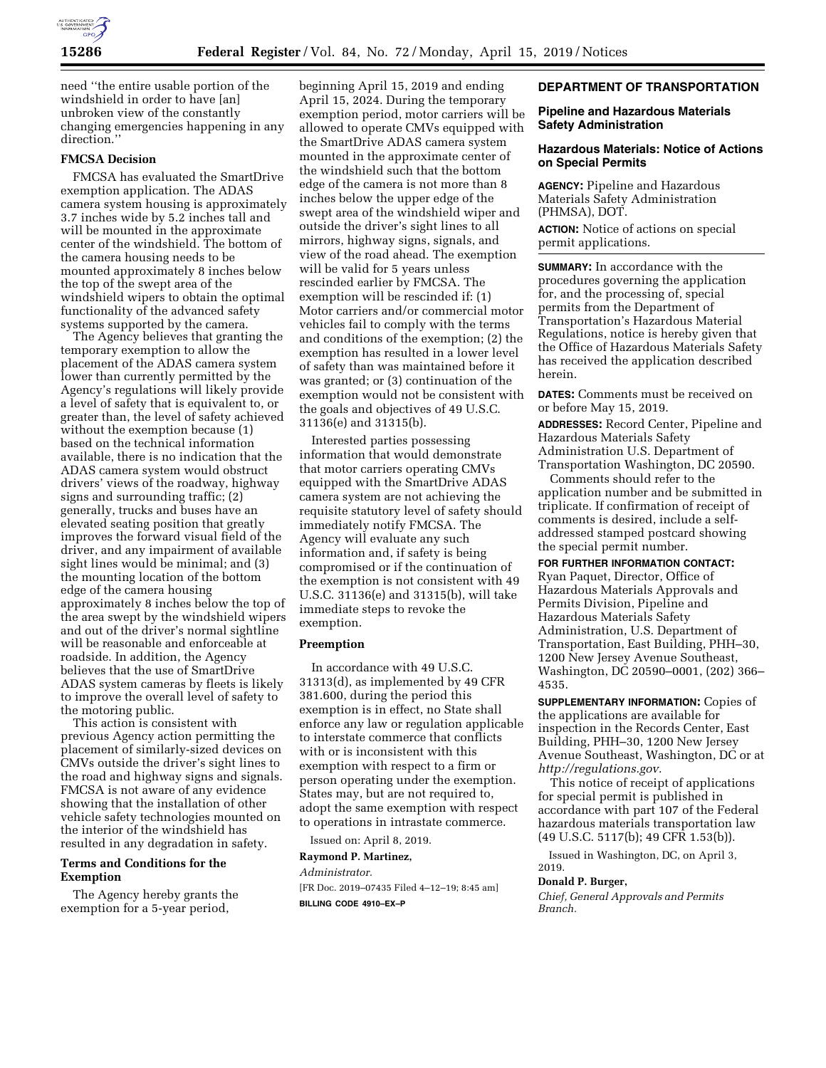

need ''the entire usable portion of the windshield in order to have [an] unbroken view of the constantly changing emergencies happening in any direction.''

# **FMCSA Decision**

FMCSA has evaluated the SmartDrive exemption application. The ADAS camera system housing is approximately 3.7 inches wide by 5.2 inches tall and will be mounted in the approximate center of the windshield. The bottom of the camera housing needs to be mounted approximately 8 inches below the top of the swept area of the windshield wipers to obtain the optimal functionality of the advanced safety systems supported by the camera.

The Agency believes that granting the temporary exemption to allow the placement of the ADAS camera system lower than currently permitted by the Agency's regulations will likely provide a level of safety that is equivalent to, or greater than, the level of safety achieved without the exemption because (1) based on the technical information available, there is no indication that the ADAS camera system would obstruct drivers' views of the roadway, highway signs and surrounding traffic; (2) generally, trucks and buses have an elevated seating position that greatly improves the forward visual field of the driver, and any impairment of available sight lines would be minimal; and (3) the mounting location of the bottom edge of the camera housing approximately 8 inches below the top of the area swept by the windshield wipers and out of the driver's normal sightline will be reasonable and enforceable at roadside. In addition, the Agency believes that the use of SmartDrive ADAS system cameras by fleets is likely to improve the overall level of safety to the motoring public.

This action is consistent with previous Agency action permitting the placement of similarly-sized devices on CMVs outside the driver's sight lines to the road and highway signs and signals. FMCSA is not aware of any evidence showing that the installation of other vehicle safety technologies mounted on the interior of the windshield has resulted in any degradation in safety.

#### **Terms and Conditions for the Exemption**

The Agency hereby grants the exemption for a 5-year period,

beginning April 15, 2019 and ending April 15, 2024. During the temporary exemption period, motor carriers will be allowed to operate CMVs equipped with the SmartDrive ADAS camera system mounted in the approximate center of the windshield such that the bottom edge of the camera is not more than 8 inches below the upper edge of the swept area of the windshield wiper and outside the driver's sight lines to all mirrors, highway signs, signals, and view of the road ahead. The exemption will be valid for 5 years unless rescinded earlier by FMCSA. The exemption will be rescinded if: (1) Motor carriers and/or commercial motor vehicles fail to comply with the terms and conditions of the exemption; (2) the exemption has resulted in a lower level of safety than was maintained before it was granted; or (3) continuation of the exemption would not be consistent with the goals and objectives of 49 U.S.C. 31136(e) and 31315(b).

Interested parties possessing information that would demonstrate that motor carriers operating CMVs equipped with the SmartDrive ADAS camera system are not achieving the requisite statutory level of safety should immediately notify FMCSA. The Agency will evaluate any such information and, if safety is being compromised or if the continuation of the exemption is not consistent with 49 U.S.C. 31136(e) and 31315(b), will take immediate steps to revoke the exemption.

## **Preemption**

In accordance with 49 U.S.C. 31313(d), as implemented by 49 CFR 381.600, during the period this exemption is in effect, no State shall enforce any law or regulation applicable to interstate commerce that conflicts with or is inconsistent with this exemption with respect to a firm or person operating under the exemption. States may, but are not required to, adopt the same exemption with respect to operations in intrastate commerce.

Issued on: April 8, 2019.

## **Raymond P. Martinez,**

*Administrator.* 

[FR Doc. 2019–07435 Filed 4–12–19; 8:45 am] **BILLING CODE 4910–EX–P** 

# **DEPARTMENT OF TRANSPORTATION**

## **Pipeline and Hazardous Materials Safety Administration**

## **Hazardous Materials: Notice of Actions on Special Permits**

**AGENCY:** Pipeline and Hazardous Materials Safety Administration (PHMSA), DOT.

**ACTION:** Notice of actions on special permit applications.

**SUMMARY:** In accordance with the procedures governing the application for, and the processing of, special permits from the Department of Transportation's Hazardous Material Regulations, notice is hereby given that the Office of Hazardous Materials Safety has received the application described herein.

**DATES:** Comments must be received on or before May 15, 2019.

**ADDRESSES:** Record Center, Pipeline and Hazardous Materials Safety Administration U.S. Department of Transportation Washington, DC 20590.

Comments should refer to the application number and be submitted in triplicate. If confirmation of receipt of comments is desired, include a selfaddressed stamped postcard showing the special permit number.

**FOR FURTHER INFORMATION CONTACT:**  Ryan Paquet, Director, Office of Hazardous Materials Approvals and Permits Division, Pipeline and Hazardous Materials Safety Administration, U.S. Department of Transportation, East Building, PHH–30, 1200 New Jersey Avenue Southeast, Washington, DC 20590–0001, (202) 366– 4535.

**SUPPLEMENTARY INFORMATION:** Copies of the applications are available for inspection in the Records Center, East Building, PHH–30, 1200 New Jersey Avenue Southeast, Washington, DC or at *[http://regulations.gov.](http://regulations.gov)* 

This notice of receipt of applications for special permit is published in accordance with part 107 of the Federal hazardous materials transportation law (49 U.S.C. 5117(b); 49 CFR 1.53(b)).

Issued in Washington, DC, on April 3, 2019.

#### **Donald P. Burger,**

*Chief, General Approvals and Permits Branch.*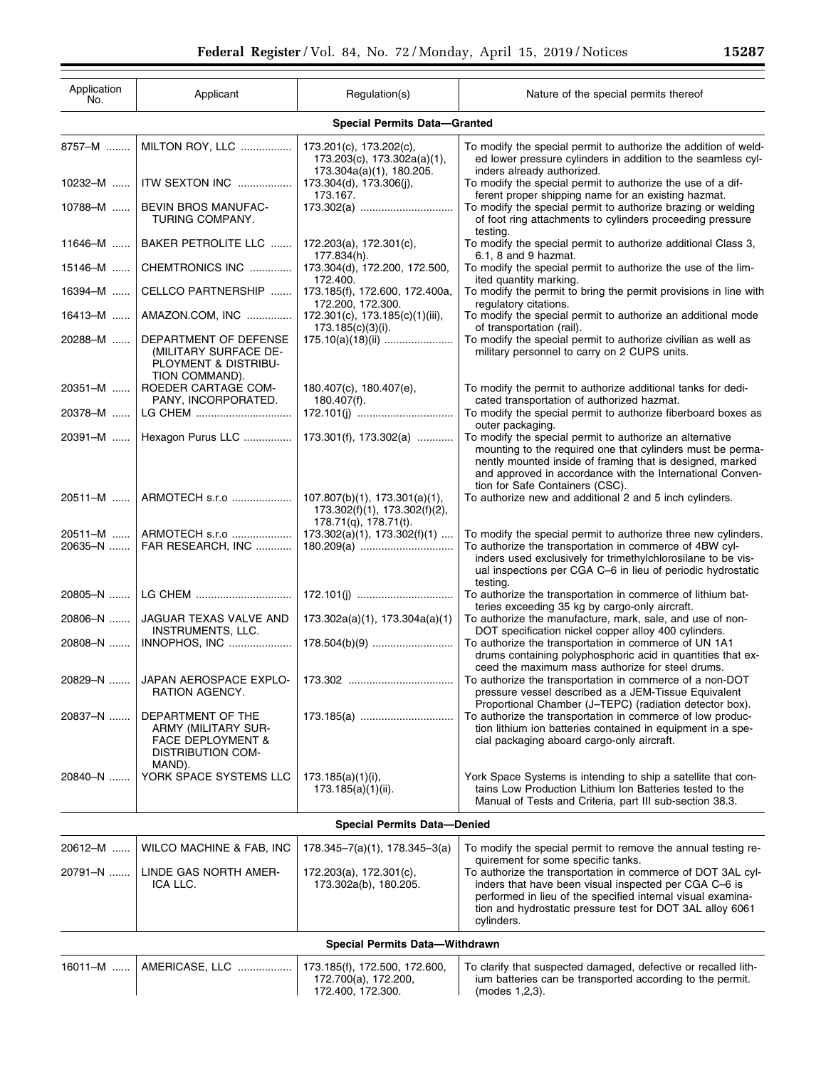| Application<br>No.                  | Applicant                                                                                                      | Regulation(s)                                                              | Nature of the special permits thereof                                                                                                                                                                                                                                               |  |  |  |
|-------------------------------------|----------------------------------------------------------------------------------------------------------------|----------------------------------------------------------------------------|-------------------------------------------------------------------------------------------------------------------------------------------------------------------------------------------------------------------------------------------------------------------------------------|--|--|--|
| <b>Special Permits Data-Granted</b> |                                                                                                                |                                                                            |                                                                                                                                                                                                                                                                                     |  |  |  |
| 8757-M                              | MILTON ROY, LLC                                                                                                | 173.201(c), 173.202(c),<br>173.203(c), 173.302a(a)(1),                     | To modify the special permit to authorize the addition of weld-<br>ed lower pressure cylinders in addition to the seamless cyl-                                                                                                                                                     |  |  |  |
| 10232-M                             | ITW SEXTON INC                                                                                                 | 173.304a(a)(1), 180.205.<br>173.304(d), 173.306(j),<br>173.167.            | inders already authorized.<br>To modify the special permit to authorize the use of a dif-<br>ferent proper shipping name for an existing hazmat.                                                                                                                                    |  |  |  |
| 10788-M                             | BEVIN BROS MANUFAC-<br>TURING COMPANY.                                                                         | 173.302(a)                                                                 | To modify the special permit to authorize brazing or welding<br>of foot ring attachments to cylinders proceeding pressure<br>testing.                                                                                                                                               |  |  |  |
| $11646 - M$                         | BAKER PETROLITE LLC                                                                                            | 172.203(a), 172.301(c),<br>177.834(h).                                     | To modify the special permit to authorize additional Class 3,<br>6.1, 8 and 9 hazmat.                                                                                                                                                                                               |  |  |  |
| 15146-M                             | CHEMTRONICS INC                                                                                                | 173.304(d), 172.200, 172.500,<br>172.400.                                  | To modify the special permit to authorize the use of the lim-<br>ited quantity marking.                                                                                                                                                                                             |  |  |  |
| 16394-M                             | CELLCO PARTNERSHIP                                                                                             | 173.185(f), 172.600, 172.400a,<br>172.200, 172.300.                        | To modify the permit to bring the permit provisions in line with<br>regulatory citations.                                                                                                                                                                                           |  |  |  |
| 16413-M                             | AMAZON.COM, INC                                                                                                | 172.301(c), 173.185(c)(1)(iii),<br>173.185(c)(3)(i).                       | To modify the special permit to authorize an additional mode<br>of transportation (rail).                                                                                                                                                                                           |  |  |  |
| 20288-M                             | DEPARTMENT OF DEFENSE<br>(MILITARY SURFACE DE-<br>PLOYMENT & DISTRIBU-<br>TION COMMAND).                       |                                                                            | To modify the special permit to authorize civilian as well as<br>military personnel to carry on 2 CUPS units.                                                                                                                                                                       |  |  |  |
| 20351-M                             | ROEDER CARTAGE COM-<br>PANY, INCORPORATED.                                                                     | 180.407(c), 180.407(e),<br>180.407(f).                                     | To modify the permit to authorize additional tanks for dedi-<br>cated transportation of authorized hazmat.                                                                                                                                                                          |  |  |  |
| 20378-M                             | LG CHEM                                                                                                        |                                                                            | To modify the special permit to authorize fiberboard boxes as<br>outer packaging.                                                                                                                                                                                                   |  |  |  |
| 20391-M                             |                                                                                                                | Hexagon Purus LLC    173.301(f), 173.302(a)                                | To modify the special permit to authorize an alternative<br>mounting to the required one that cylinders must be perma-<br>nently mounted inside of framing that is designed, marked<br>and approved in accordance with the International Conven-<br>tion for Safe Containers (CSC). |  |  |  |
|                                     | 20511-M    ARMOTECH s.r.o    107.807(b)(1), 173.301(a)(1),                                                     | 173.302(f)(1), 173.302(f)(2),<br>178.71(q), 178.71(t).                     | To authorize new and additional 2 and 5 inch cylinders.                                                                                                                                                                                                                             |  |  |  |
| 20511-M                             | ARMOTECH s.r.o    173.302(a)(1), 173.302(f)(1)                                                                 |                                                                            | To modify the special permit to authorize three new cylinders.                                                                                                                                                                                                                      |  |  |  |
| 20635-N                             | FAR RESEARCH, INC                                                                                              |                                                                            | To authorize the transportation in commerce of 4BW cyl-<br>inders used exclusively for trimethylchlorosilane to be vis-<br>ual inspections per CGA C-6 in lieu of periodic hydrostatic<br>testing.                                                                                  |  |  |  |
|                                     |                                                                                                                |                                                                            | To authorize the transportation in commerce of lithium bat-<br>teries exceeding 35 kg by cargo-only aircraft.                                                                                                                                                                       |  |  |  |
| 20806-N                             | JAGUAR TEXAS VALVE AND<br><b>INSTRUMENTS, LLC.</b>                                                             | 173.302a(a)(1), 173.304a(a)(1)                                             | To authorize the manufacture, mark, sale, and use of non-<br>DOT specification nickel copper alloy 400 cylinders.                                                                                                                                                                   |  |  |  |
| 20808-N                             | INNOPHOS, INC                                                                                                  |                                                                            | To authorize the transportation in commerce of UN 1A1<br>drums containing polyphosphoric acid in quantities that ex-<br>ceed the maximum mass authorize for steel drums.                                                                                                            |  |  |  |
| 20829-N                             | JAPAN AEROSPACE EXPLO-<br>RATION AGENCY.                                                                       |                                                                            | To authorize the transportation in commerce of a non-DOT<br>pressure vessel described as a JEM-Tissue Equivalent<br>Proportional Chamber (J-TEPC) (radiation detector box).                                                                                                         |  |  |  |
| 20837-N                             | DEPARTMENT OF THE<br><b>ARMY (MILITARY SUR-</b><br><b>FACE DEPLOYMENT &amp;</b><br>DISTRIBUTION COM-<br>MAND). |                                                                            | To authorize the transportation in commerce of low produc-<br>tion lithium ion batteries contained in equipment in a spe-<br>cial packaging aboard cargo-only aircraft.                                                                                                             |  |  |  |
| 20840-N                             | YORK SPACE SYSTEMS LLC                                                                                         | $173.185(a)(1)(i)$ ,<br>173.185(a)(1)(ii).                                 | York Space Systems is intending to ship a satellite that con-<br>tains Low Production Lithium Ion Batteries tested to the<br>Manual of Tests and Criteria, part III sub-section 38.3.                                                                                               |  |  |  |
| <b>Special Permits Data-Denied</b>  |                                                                                                                |                                                                            |                                                                                                                                                                                                                                                                                     |  |  |  |
| 20612-M                             | WILCO MACHINE & FAB, INC                                                                                       | $178.345 - 7(a)(1)$ , $178.345 - 3(a)$                                     | To modify the special permit to remove the annual testing re-<br>quirement for some specific tanks.                                                                                                                                                                                 |  |  |  |
| 20791-N                             | LINDE GAS NORTH AMER-<br>ICA LLC.                                                                              | 172.203(a), 172.301(c),<br>173.302a(b), 180.205.                           | To authorize the transportation in commerce of DOT 3AL cyl-<br>inders that have been visual inspected per CGA C-6 is<br>performed in lieu of the specified internal visual examina-<br>tion and hydrostatic pressure test for DOT 3AL alloy 6061<br>cylinders.                      |  |  |  |
| Special Permits Data-Withdrawn      |                                                                                                                |                                                                            |                                                                                                                                                                                                                                                                                     |  |  |  |
| 16011-M                             | AMERICASE, LLC                                                                                                 | 173.185(f), 172.500, 172.600,<br>172.700(a), 172.200,<br>172.400, 172.300. | To clarify that suspected damaged, defective or recalled lith-<br>ium batteries can be transported according to the permit.<br>(modes 1,2,3).                                                                                                                                       |  |  |  |